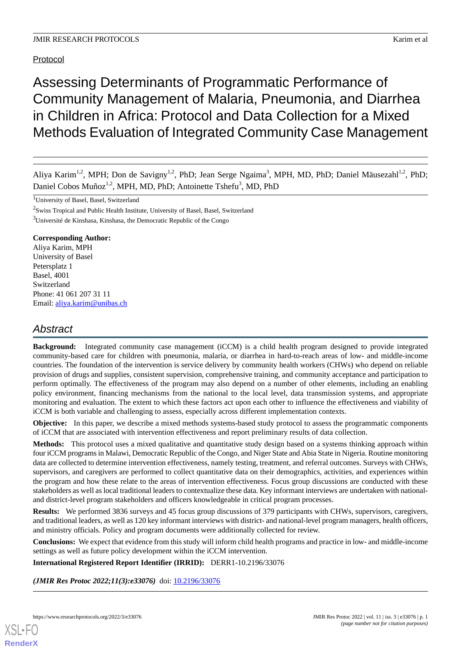# Protocol

# Assessing Determinants of Programmatic Performance of Community Management of Malaria, Pneumonia, and Diarrhea in Children in Africa: Protocol and Data Collection for a Mixed Methods Evaluation of Integrated Community Case Management

Aliya Karim<sup>1,2</sup>, MPH; Don de Savigny<sup>1,2</sup>, PhD; Jean Serge Ngaima<sup>3</sup>, MPH, MD, PhD; Daniel Mäusezahl<sup>1,2</sup>, PhD; Daniel Cobos Muñoz<sup>1,2</sup>, MPH, MD, PhD; Antoinette Tshefu<sup>3</sup>, MD, PhD

 $2$ Swiss Tropical and Public Health Institute, University of Basel, Basel, Switzerland <sup>3</sup>Université de Kinshasa, Kinshasa, the Democratic Republic of the Congo

### **Corresponding Author:**

Aliya Karim, MPH University of Basel Petersplatz 1 Basel, 4001 Switzerland Phone: 41 061 207 31 11 Email: [aliya.karim@unibas.ch](mailto:aliya.karim@unibas.ch)

# *Abstract*

**Background:** Integrated community case management (iCCM) is a child health program designed to provide integrated community-based care for children with pneumonia, malaria, or diarrhea in hard-to-reach areas of low- and middle-income countries. The foundation of the intervention is service delivery by community health workers (CHWs) who depend on reliable provision of drugs and supplies, consistent supervision, comprehensive training, and community acceptance and participation to perform optimally. The effectiveness of the program may also depend on a number of other elements, including an enabling policy environment, financing mechanisms from the national to the local level, data transmission systems, and appropriate monitoring and evaluation. The extent to which these factors act upon each other to influence the effectiveness and viability of iCCM is both variable and challenging to assess, especially across different implementation contexts.

**Objective:** In this paper, we describe a mixed methods systems-based study protocol to assess the programmatic components of iCCM that are associated with intervention effectiveness and report preliminary results of data collection.

**Methods:** This protocol uses a mixed qualitative and quantitative study design based on a systems thinking approach within four iCCM programs in Malawi, Democratic Republic of the Congo, and Niger State and Abia State in Nigeria. Routine monitoring data are collected to determine intervention effectiveness, namely testing, treatment, and referral outcomes. Surveys with CHWs, supervisors, and caregivers are performed to collect quantitative data on their demographics, activities, and experiences within the program and how these relate to the areas of intervention effectiveness. Focus group discussions are conducted with these stakeholders as well as local traditional leaders to contextualize these data. Key informant interviews are undertaken with nationaland district-level program stakeholders and officers knowledgeable in critical program processes.

**Results:** We performed 3836 surveys and 45 focus group discussions of 379 participants with CHWs, supervisors, caregivers, and traditional leaders, as well as 120 key informant interviews with district- and national-level program managers, health officers, and ministry officials. Policy and program documents were additionally collected for review.

**Conclusions:** We expect that evidence from this study will inform child health programs and practice in low- and middle-income settings as well as future policy development within the iCCM intervention.

**International Registered Report Identifier (IRRID):** DERR1-10.2196/33076

*(JMIR Res Protoc 2022;11(3):e33076)* doi: [10.2196/33076](http://dx.doi.org/10.2196/33076)

<sup>1</sup>University of Basel, Basel, Switzerland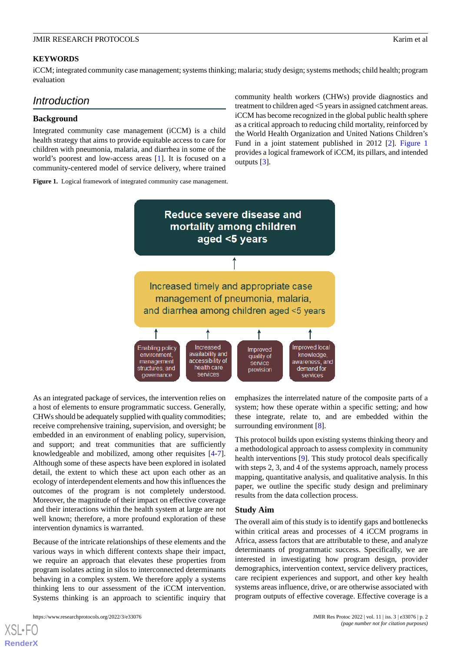### **KEYWORDS**

iCCM; integrated community case management; systems thinking; malaria; study design; systems methods; child health; program evaluation

# *Introduction*

#### **Background**

Integrated community case management (iCCM) is a child health strategy that aims to provide equitable access to care for children with pneumonia, malaria, and diarrhea in some of the world's poorest and low-access areas [\[1](#page-8-0)]. It is focused on a community-centered model of service delivery, where trained

<span id="page-1-0"></span>**Figure 1.** Logical framework of integrated community case management.

community health workers (CHWs) provide diagnostics and treatment to children aged <5 years in assigned catchment areas. iCCM has become recognized in the global public health sphere as a critical approach to reducing child mortality, reinforced by the World Health Organization and United Nations Children's Fund in a joint statement published in 2012 [\[2](#page-8-1)]. [Figure 1](#page-1-0) provides a logical framework of iCCM, its pillars, and intended outputs [[3\]](#page-8-2).



As an integrated package of services, the intervention relies on a host of elements to ensure programmatic success. Generally, CHWs should be adequately supplied with quality commodities; receive comprehensive training, supervision, and oversight; be embedded in an environment of enabling policy, supervision, and support; and treat communities that are sufficiently knowledgeable and mobilized, among other requisites [\[4-](#page-8-3)[7\]](#page-9-0). Although some of these aspects have been explored in isolated detail, the extent to which these act upon each other as an ecology of interdependent elements and how this influences the outcomes of the program is not completely understood. Moreover, the magnitude of their impact on effective coverage and their interactions within the health system at large are not well known; therefore, a more profound exploration of these intervention dynamics is warranted.

Because of the intricate relationships of these elements and the various ways in which different contexts shape their impact, we require an approach that elevates these properties from program isolates acting in silos to interconnected determinants behaving in a complex system. We therefore apply a systems thinking lens to our assessment of the iCCM intervention. Systems thinking is an approach to scientific inquiry that

[XSL](http://www.w3.org/Style/XSL)•FO **[RenderX](http://www.renderx.com/)**

emphasizes the interrelated nature of the composite parts of a system; how these operate within a specific setting; and how these integrate, relate to, and are embedded within the surrounding environment [\[8](#page-9-1)].

This protocol builds upon existing systems thinking theory and a methodological approach to assess complexity in community health interventions [[9\]](#page-9-2). This study protocol deals specifically with steps 2, 3, and 4 of the systems approach, namely process mapping, quantitative analysis, and qualitative analysis. In this paper, we outline the specific study design and preliminary results from the data collection process.

#### **Study Aim**

The overall aim of this study is to identify gaps and bottlenecks within critical areas and processes of 4 iCCM programs in Africa, assess factors that are attributable to these, and analyze determinants of programmatic success. Specifically, we are interested in investigating how program design, provider demographics, intervention context, service delivery practices, care recipient experiences and support, and other key health systems areas influence, drive, or are otherwise associated with program outputs of effective coverage. Effective coverage is a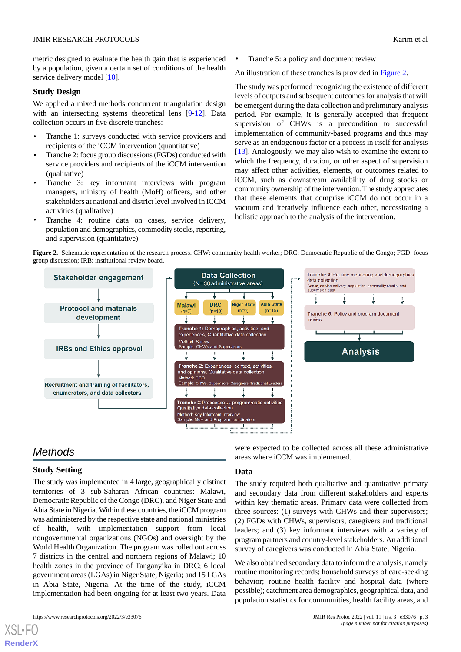metric designed to evaluate the health gain that is experienced by a population, given a certain set of conditions of the health service delivery model [\[10](#page-9-3)].

#### **Study Design**

We applied a mixed methods concurrent triangulation design with an intersecting systems theoretical lens [\[9](#page-9-2)[-12](#page-9-4)]. Data collection occurs in five discrete tranches:

- Tranche 1: surveys conducted with service providers and recipients of the iCCM intervention (quantitative)
- Tranche 2: focus group discussions (FGDs) conducted with service providers and recipients of the iCCM intervention (qualitative)
- Tranche 3: key informant interviews with program managers, ministry of health (MoH) officers, and other stakeholders at national and district level involved in iCCM activities (qualitative)
- <span id="page-2-0"></span>Tranche 4: routine data on cases, service delivery, population and demographics, commodity stocks, reporting, and supervision (quantitative)

• Tranche 5: a policy and document review

An illustration of these tranches is provided in [Figure 2.](#page-2-0)

The study was performed recognizing the existence of different levels of outputs and subsequent outcomes for analysis that will be emergent during the data collection and preliminary analysis period. For example, it is generally accepted that frequent supervision of CHWs is a precondition to successful implementation of community-based programs and thus may serve as an endogenous factor or a process in itself for analysis [[13\]](#page-9-5). Analogously, we may also wish to examine the extent to which the frequency, duration, or other aspect of supervision may affect other activities, elements, or outcomes related to iCCM, such as downstream availability of drug stocks or community ownership of the intervention. The study appreciates that these elements that comprise iCCM do not occur in a vacuum and iteratively influence each other, necessitating a holistic approach to the analysis of the intervention.

**Figure 2.** Schematic representation of the research process. CHW: community health worker; DRC: Democratic Republic of the Congo; FGD: focus group discussion; IRB: institutional review board.



# *Methods*

[XSL](http://www.w3.org/Style/XSL)•FO **[RenderX](http://www.renderx.com/)**

## **Study Setting**

The study was implemented in 4 large, geographically distinct territories of 3 sub-Saharan African countries: Malawi, Democratic Republic of the Congo (DRC), and Niger State and Abia State in Nigeria. Within these countries, the iCCM program was administered by the respective state and national ministries of health, with implementation support from local nongovernmental organizations (NGOs) and oversight by the World Health Organization. The program was rolled out across 7 districts in the central and northern regions of Malawi; 10 health zones in the province of Tanganyika in DRC; 6 local government areas (LGAs) in Niger State, Nigeria; and 15 LGAs in Abia State, Nigeria. At the time of the study, iCCM implementation had been ongoing for at least two years. Data

were expected to be collected across all these administrative areas where iCCM was implemented.

#### **Data**

The study required both qualitative and quantitative primary and secondary data from different stakeholders and experts within key thematic areas. Primary data were collected from three sources: (1) surveys with CHWs and their supervisors; (2) FGDs with CHWs, supervisors, caregivers and traditional leaders; and (3) key informant interviews with a variety of program partners and country-level stakeholders. An additional survey of caregivers was conducted in Abia State, Nigeria.

We also obtained secondary data to inform the analysis, namely routine monitoring records; household surveys of care-seeking behavior; routine health facility and hospital data (where possible); catchment area demographics, geographical data, and population statistics for communities, health facility areas, and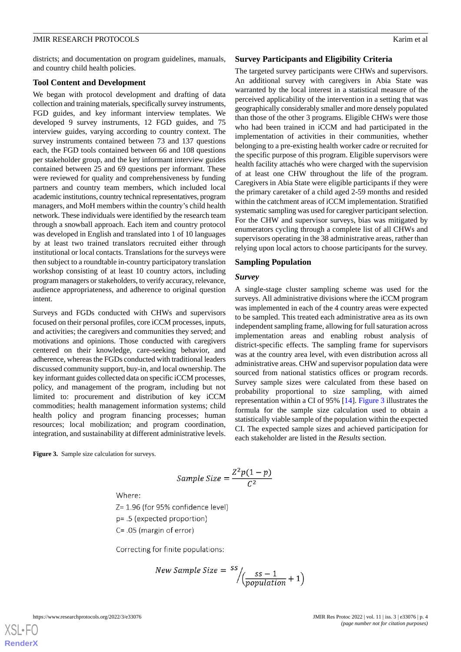districts; and documentation on program guidelines, manuals, and country child health policies.

#### **Tool Content and Development**

We began with protocol development and drafting of data collection and training materials, specifically survey instruments, FGD guides, and key informant interview templates. We developed 9 survey instruments, 12 FGD guides, and 75 interview guides, varying according to country context. The survey instruments contained between 73 and 137 questions each, the FGD tools contained between 66 and 108 questions per stakeholder group, and the key informant interview guides contained between 25 and 69 questions per informant. These were reviewed for quality and comprehensiveness by funding partners and country team members, which included local academic institutions, country technical representatives, program managers, and MoH members within the country's child health network. These individuals were identified by the research team through a snowball approach. Each item and country protocol was developed in English and translated into 1 of 10 languages by at least two trained translators recruited either through institutional or local contacts. Translations for the surveys were then subject to a roundtable in-country participatory translation workshop consisting of at least 10 country actors, including program managers or stakeholders, to verify accuracy, relevance, audience appropriateness, and adherence to original question intent.

Surveys and FGDs conducted with CHWs and supervisors focused on their personal profiles, core iCCM processes, inputs, and activities; the caregivers and communities they served; and motivations and opinions. Those conducted with caregivers centered on their knowledge, care-seeking behavior, and adherence, whereas the FGDs conducted with traditional leaders discussed community support, buy-in, and local ownership. The key informant guides collected data on specific iCCM processes, policy, and management of the program, including but not limited to: procurement and distribution of key iCCM commodities; health management information systems; child health policy and program financing processes; human resources; local mobilization; and program coordination, integration, and sustainability at different administrative levels.

<span id="page-3-0"></span>**Figure 3.** Sample size calculation for surveys.

$$
Sample\ Size = \frac{Z^2p(1-p)}{C^2}
$$

Where:

Z= 1.96 (for 95% confidence level)

p= .5 (expected proportion)

C= .05 (margin of error)

İ

Correcting for finite populations:

$$
New Sample Size = \frac{ss}{\sqrt{\frac{ss-1}{population} + 1}}
$$

[XSL](http://www.w3.org/Style/XSL)•FO **[RenderX](http://www.renderx.com/)**

#### **Survey Participants and Eligibility Criteria**

The targeted survey participants were CHWs and supervisors. An additional survey with caregivers in Abia State was warranted by the local interest in a statistical measure of the perceived applicability of the intervention in a setting that was geographically considerably smaller and more densely populated than those of the other 3 programs. Eligible CHWs were those who had been trained in iCCM and had participated in the implementation of activities in their communities, whether belonging to a pre-existing health worker cadre or recruited for the specific purpose of this program. Eligible supervisors were health facility attachés who were charged with the supervision of at least one CHW throughout the life of the program. Caregivers in Abia State were eligible participants if they were the primary caretaker of a child aged 2-59 months and resided within the catchment areas of iCCM implementation. Stratified systematic sampling was used for caregiver participant selection. For the CHW and supervisor surveys, bias was mitigated by enumerators cycling through a complete list of all CHWs and supervisors operating in the 38 administrative areas, rather than relying upon local actors to choose participants for the survey.

#### **Sampling Population**

#### *Survey*

A single-stage cluster sampling scheme was used for the surveys. All administrative divisions where the iCCM program was implemented in each of the 4 country areas were expected to be sampled. This treated each administrative area as its own independent sampling frame, allowing for full saturation across implementation areas and enabling robust analysis of district-specific effects. The sampling frame for supervisors was at the country area level, with even distribution across all administrative areas. CHW and supervisor population data were sourced from national statistics offices or program records. Survey sample sizes were calculated from these based on probability proportional to size sampling, with aimed representation within a CI of 95% [[14\]](#page-9-6). [Figure 3](#page-3-0) illustrates the formula for the sample size calculation used to obtain a statistically viable sample of the population within the expected CI. The expected sample sizes and achieved participation for each stakeholder are listed in the *Results* section.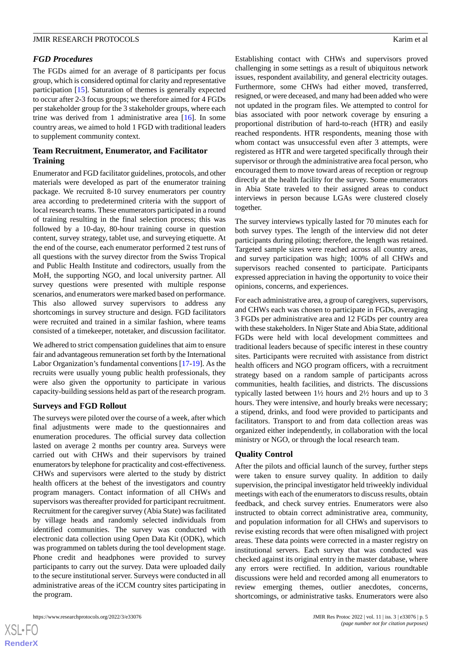#### *FGD Procedures*

The FGDs aimed for an average of 8 participants per focus group, which is considered optimal for clarity and representative participation [[15\]](#page-9-7). Saturation of themes is generally expected to occur after 2-3 focus groups; we therefore aimed for 4 FGDs per stakeholder group for the 3 stakeholder groups, where each trine was derived from 1 administrative area [[16\]](#page-9-8). In some country areas, we aimed to hold 1 FGD with traditional leaders to supplement community context.

#### **Team Recruitment, Enumerator, and Facilitator Training**

Enumerator and FGD facilitator guidelines, protocols, and other materials were developed as part of the enumerator training package. We recruited 8-10 survey enumerators per country area according to predetermined criteria with the support of local research teams. These enumerators participated in a round of training resulting in the final selection process; this was followed by a 10-day, 80-hour training course in question content, survey strategy, tablet use, and surveying etiquette. At the end of the course, each enumerator performed 2 test runs of all questions with the survey director from the Swiss Tropical and Public Health Institute and codirectors, usually from the MoH, the supporting NGO, and local university partner. All survey questions were presented with multiple response scenarios, and enumerators were marked based on performance. This also allowed survey supervisors to address any shortcomings in survey structure and design. FGD facilitators were recruited and trained in a similar fashion, where teams consisted of a timekeeper, notetaker, and discussion facilitator.

We adhered to strict compensation guidelines that aim to ensure fair and advantageous remuneration set forth by the International Labor Organization's fundamental conventions [[17-](#page-9-9)[19](#page-9-10)]. As the recruits were usually young public health professionals, they were also given the opportunity to participate in various capacity-building sessions held as part of the research program.

#### **Surveys and FGD Rollout**

The surveys were piloted over the course of a week, after which final adjustments were made to the questionnaires and enumeration procedures. The official survey data collection lasted on average 2 months per country area. Surveys were carried out with CHWs and their supervisors by trained enumerators by telephone for practicality and cost-effectiveness. CHWs and supervisors were alerted to the study by district health officers at the behest of the investigators and country program managers. Contact information of all CHWs and supervisors was thereafter provided for participant recruitment. Recruitment for the caregiver survey (Abia State) was facilitated by village heads and randomly selected individuals from identified communities. The survey was conducted with electronic data collection using Open Data Kit (ODK), which was programmed on tablets during the tool development stage. Phone credit and headphones were provided to survey participants to carry out the survey. Data were uploaded daily to the secure institutional server. Surveys were conducted in all administrative areas of the iCCM country sites participating in the program.

 $XSI - F($ **[RenderX](http://www.renderx.com/)** Establishing contact with CHWs and supervisors proved challenging in some settings as a result of ubiquitous network issues, respondent availability, and general electricity outages. Furthermore, some CHWs had either moved, transferred, resigned, or were deceased, and many had been added who were not updated in the program files. We attempted to control for bias associated with poor network coverage by ensuring a proportional distribution of hard-to-reach (HTR) and easily reached respondents. HTR respondents, meaning those with whom contact was unsuccessful even after 3 attempts, were registered as HTR and were targeted specifically through their supervisor or through the administrative area focal person, who encouraged them to move toward areas of reception or regroup directly at the health facility for the survey. Some enumerators in Abia State traveled to their assigned areas to conduct interviews in person because LGAs were clustered closely together.

The survey interviews typically lasted for 70 minutes each for both survey types. The length of the interview did not deter participants during piloting; therefore, the length was retained. Targeted sample sizes were reached across all country areas, and survey participation was high; 100% of all CHWs and supervisors reached consented to participate. Participants expressed appreciation in having the opportunity to voice their opinions, concerns, and experiences.

For each administrative area, a group of caregivers, supervisors, and CHWs each was chosen to participate in FGDs, averaging 3 FGDs per administrative area and 12 FGDs per country area with these stakeholders. In Niger State and Abia State, additional FGDs were held with local development committees and traditional leaders because of specific interest in these country sites. Participants were recruited with assistance from district health officers and NGO program officers, with a recruitment strategy based on a random sample of participants across communities, health facilities, and districts. The discussions typically lasted between 1½ hours and 2½ hours and up to 3 hours. They were intensive, and hourly breaks were necessary; a stipend, drinks, and food were provided to participants and facilitators. Transport to and from data collection areas was organized either independently, in collaboration with the local ministry or NGO, or through the local research team.

#### **Quality Control**

After the pilots and official launch of the survey, further steps were taken to ensure survey quality. In addition to daily supervision, the principal investigator held triweekly individual meetings with each of the enumerators to discuss results, obtain feedback, and check survey entries. Enumerators were also instructed to obtain correct administrative area, community, and population information for all CHWs and supervisors to revise existing records that were often misaligned with project areas. These data points were corrected in a master registry on institutional servers. Each survey that was conducted was checked against its original entry in the master database, where any errors were rectified. In addition, various roundtable discussions were held and recorded among all enumerators to review emerging themes, outlier anecdotes, concerns, shortcomings, or administrative tasks. Enumerators were also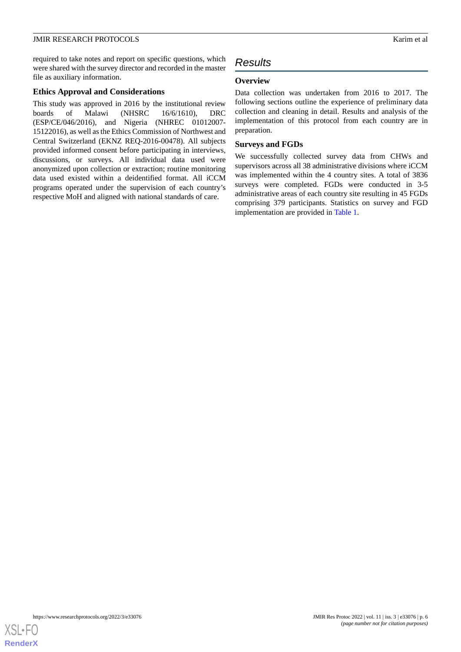required to take notes and report on specific questions, which were shared with the survey director and recorded in the master file as auxiliary information.

#### **Ethics Approval and Considerations**

This study was approved in 2016 by the institutional review boards of Malawi (NHSRC 16/6/1610), DRC (ESP/CE/046/2016), and Nigeria (NHREC 01012007- 15122016), as well as the Ethics Commission of Northwest and Central Switzerland (EKNZ REQ-2016-00478). All subjects provided informed consent before participating in interviews, discussions, or surveys. All individual data used were anonymized upon collection or extraction; routine monitoring data used existed within a deidentified format. All iCCM programs operated under the supervision of each country's respective MoH and aligned with national standards of care.

# *Results*

## **Overview**

Data collection was undertaken from 2016 to 2017. The following sections outline the experience of preliminary data collection and cleaning in detail. Results and analysis of the implementation of this protocol from each country are in preparation.

# **Surveys and FGDs**

We successfully collected survey data from CHWs and supervisors across all 38 administrative divisions where iCCM was implemented within the 4 country sites. A total of 3836 surveys were completed. FGDs were conducted in 3-5 administrative areas of each country site resulting in 45 FGDs comprising 379 participants. Statistics on survey and FGD implementation are provided in [Table 1](#page-6-0).

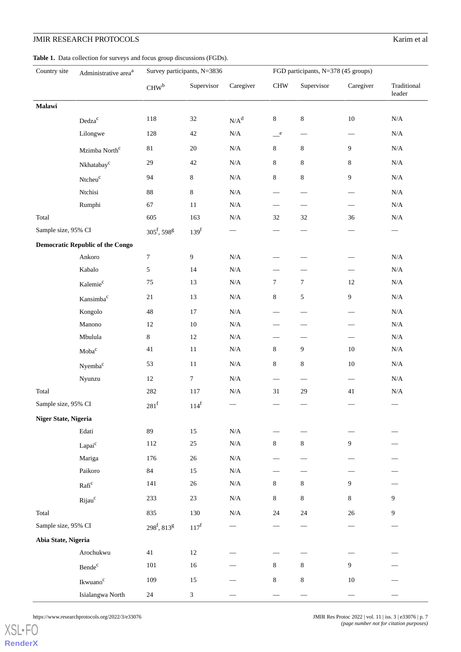#### <span id="page-6-0"></span>Table 1. Data collection for surveys and focus group discussions (FGDs).

| Country site                            | Administrative area <sup>a</sup> | Survey participants, N=3836 |                  |           | FGD participants, N=378 (45 groups) |                                 |                          |                                |
|-----------------------------------------|----------------------------------|-----------------------------|------------------|-----------|-------------------------------------|---------------------------------|--------------------------|--------------------------------|
|                                         |                                  | CHW <sup>b</sup>            | Supervisor       | Caregiver | $\mathop{\rm CHW}\nolimits$         | Supervisor                      | Caregiver                | Traditional<br>$\mbox{leader}$ |
| Malawi                                  |                                  |                             |                  |           |                                     |                                 |                          |                                |
|                                         | $\text{Dedza}^\text{c}$          | 118                         | $32\,$           | $N/A^d$   | $8\,$                               | $\,8\,$                         | $10\,$                   | $\rm N/A$                      |
|                                         | Lilongwe                         | 128                         | $42\,$           | $\rm N/A$ | $\_\,^{\rm e}$                      |                                 |                          | $\rm N/A$                      |
|                                         | Mzimba $\mbox{North}^{\mbox{c}}$ | $81\,$                      | $20\,$           | $\rm N/A$ | $8\,$                               | 8                               | 9                        | $\rm N/A$                      |
|                                         | Nkhatabay <sup>c</sup>           | $29\,$                      | $42\,$           | $\rm N/A$ | 8                                   | $8\,$                           | $\,8\,$                  | $\rm N/A$                      |
|                                         | Ntcheu <sup>c</sup>              | 94                          | $\,8\,$          | $\rm N/A$ | $8\,$                               | $8\,$                           | 9                        | $\rm N/A$                      |
|                                         | Ntchisi                          | $88\,$                      | $8\,$            | $\rm N/A$ |                                     |                                 |                          | $\rm N/A$                      |
|                                         | Rumphi                           | 67                          | $11\,$           | $\rm N/A$ | $\overline{\phantom{0}}$            |                                 | -                        | $\rm N/A$                      |
| Total                                   |                                  | 605                         | 163              | $\rm N/A$ | $32\,$                              | 32                              | 36                       | $\rm N/A$                      |
| Sample size, 95% CI                     |                                  | $305^{\rm f}, 598^{\rm g}$  | 139 <sup>f</sup> |           |                                     | $\hspace{0.1mm}-\hspace{0.1mm}$ |                          | $\overbrace{\phantom{12333}}$  |
| <b>Democratic Republic of the Congo</b> |                                  |                             |                  |           |                                     |                                 |                          |                                |
|                                         | Ankoro                           | $\boldsymbol{7}$            | $\overline{9}$   | $\rm N/A$ |                                     |                                 |                          | $\rm N/A$                      |
|                                         | Kabalo                           | $\sqrt{5}$                  | 14               | $\rm N/A$ |                                     |                                 | $\overline{\phantom{0}}$ | $\rm N/A$                      |
|                                         | Kalemie <sup>c</sup>             | $75\,$                      | 13               | $\rm N/A$ | $\tau$                              | $\boldsymbol{7}$                | $12\,$                   | $\rm N/A$                      |
|                                         | Kansimba <sup>c</sup>            | $21\,$                      | 13               | $\rm N/A$ | $8\,$                               | 5                               | 9                        | $\rm N/A$                      |
|                                         | Kongolo                          | 48                          | $17\,$           | $\rm N/A$ |                                     |                                 | $\overline{\phantom{0}}$ | $\rm N/A$                      |
|                                         | Manono                           | $12\,$                      | $10\,$           | $\rm N/A$ |                                     | $\overline{\phantom{0}}$        |                          | $\rm N/A$                      |
|                                         | Mbulula                          | $8\,$                       | $12\,$           | $\rm N/A$ |                                     | -                               | -                        | $\rm N/A$                      |
|                                         | $\mathbf{Moba}^{\mathbf{c}}$     | $41\,$                      | 11               | $\rm N/A$ | $8\,$                               | 9                               | $10\,$                   | $\rm N/A$                      |
|                                         | Nyemba <sup>c</sup>              | 53                          | $11\,$           | $\rm N/A$ | 8                                   | 8                               | 10                       | $\rm N/A$                      |
|                                         | Nyunzu                           | $12\,$                      | $\boldsymbol{7}$ | $\rm N/A$ |                                     | $\overbrace{\phantom{12332}}$   |                          | $\rm N/A$                      |
| Total                                   |                                  | 282                         | 117              | $\rm N/A$ | $31\,$                              | $29\,$                          | 41                       | $\rm N/A$                      |
| Sample size, 95% CI                     |                                  | $281$ <sup>f</sup>          | 114 <sup>f</sup> |           |                                     |                                 |                          |                                |
| Niger State, Nigeria                    |                                  |                             |                  |           |                                     |                                 |                          |                                |
|                                         | Edati                            | 89                          | 15               | $\rm N/A$ |                                     |                                 |                          |                                |
|                                         | Lapai <sup>c</sup>               | 112                         | $25\,$           | $\rm N/A$ | $8\,$                               | $8\,$                           | 9                        |                                |
|                                         | Mariga                           | 176                         | $26\,$           | $\rm N/A$ |                                     |                                 |                          |                                |
|                                         | Paikoro                          | $84\,$                      | 15               | $\rm N/A$ |                                     |                                 |                          |                                |
|                                         | $\mathrm{Rafi}^\mathrm{c}$       | 141                         | $26\,$           | $\rm N/A$ | $8\,$                               | $8\,$                           | 9                        |                                |
|                                         | Rijau <sup>c</sup>               | 233                         | $23\,$           | $\rm N/A$ | $8\,$                               | $8\,$                           | 8                        | 9                              |
| Total                                   |                                  | 835                         | 130              | $\rm N/A$ | $24\,$                              | $24\,$                          | 26                       | 9                              |
| Sample size, 95% CI                     |                                  | $298^{\rm f}, 813^{\rm g}$  | $117^f$          |           |                                     |                                 |                          |                                |
| Abia State, Nigeria                     |                                  |                             |                  |           |                                     |                                 |                          |                                |
|                                         | Arochukwu                        | $41\,$                      | $12\,$           |           |                                     |                                 |                          |                                |
|                                         | Bende <sup>c</sup>               | 101                         | $16\,$           |           | $8\,$                               | $8\,$                           | 9                        |                                |
|                                         | Ikwuano <sup>c</sup>             | 109                         | $15\,$           |           | $8\,$                               | $\,8\,$                         | $10\,$                   |                                |
|                                         | Isialangwa North                 | $24\,$                      | $\mathfrak{Z}$   |           |                                     |                                 |                          |                                |

https://www.researchprotocols.org/2022/3/e33076 JMIR Res Protoc 2022 | vol. 11 | iss. 3 | e33076 | p. 7

[XSL](http://www.w3.org/Style/XSL)•FO **[RenderX](http://www.renderx.com/)**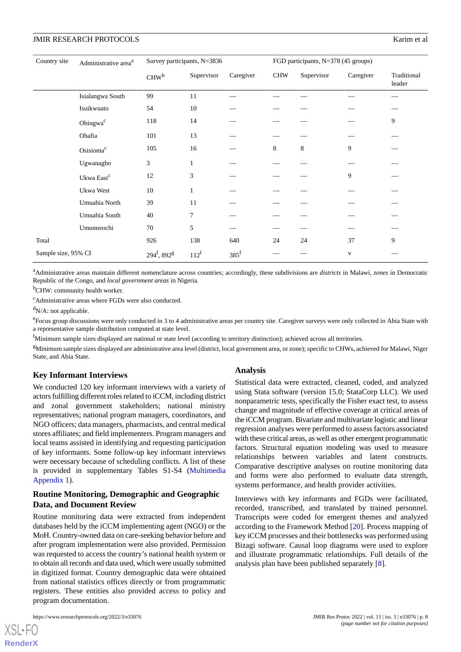| Country site        | Administrative area <sup>a</sup> | Survey participants, N=3836 |              |                    | FGD participants, N=378 (45 groups) |            |              |                       |
|---------------------|----------------------------------|-----------------------------|--------------|--------------------|-------------------------------------|------------|--------------|-----------------------|
|                     |                                  | CHW <sup>b</sup>            | Supervisor   | Caregiver          | <b>CHW</b>                          | Supervisor | Caregiver    | Traditional<br>leader |
|                     | Isialangwa South                 | 99                          | 11           |                    |                                     |            |              |                       |
|                     | Isuikwuato                       | 54                          | 10           |                    |                                     |            |              |                       |
|                     | Obingwa <sup>c</sup>             | 118                         | 14           |                    |                                     |            |              | 9                     |
|                     | Ohafia                           | 101                         | 13           |                    |                                     |            |              |                       |
|                     | Osisioma <sup>c</sup>            | 105                         | 16           |                    | 8                                   | 8          | 9            |                       |
|                     | Ugwanagbo                        | 3                           | $\mathbf{1}$ |                    |                                     |            |              |                       |
|                     | Ukwa East <sup>c</sup>           | 12                          | 3            |                    |                                     |            | 9            |                       |
|                     | Ukwa West                        | 10                          | $\mathbf{1}$ |                    |                                     |            |              |                       |
|                     | Umuahia North                    | 39                          | 11           |                    |                                     |            |              |                       |
|                     | Umuahia South                    | 40                          | 7            |                    |                                     |            |              |                       |
|                     | Umunneochi                       | 70                          | 5            |                    |                                     |            |              |                       |
| Total               |                                  | 926                         | 138          | 640                | 24                                  | 24         | 37           | 9                     |
| Sample size, 95% CI |                                  | $294^f$ , $892^g$           | $112^f$      | $385$ <sup>f</sup> |                                     |            | $\mathbf{V}$ |                       |

<sup>a</sup>Administrative areas maintain different nomenclature across countries; accordingly, these subdivisions are *districts* in Malawi, *zones* in Democratic Republic of the Congo, and *local government areas* in Nigeria.

<sup>b</sup>CHW: community health worker.

<sup>c</sup>Administrative areas where FGDs were also conducted.

 $dN/A$ : not applicable.

<sup>e</sup> Focus group discussions were only conducted in 3 to 4 administrative areas per country site. Caregiver surveys were only collected in Abia State with a representative sample distribution computed at state level.

 $<sup>f</sup>$ Minimum sample sizes displayed are national or state level (according to territory distinction); achieved across all territories.</sup>

<sup>g</sup>Minimum sample sizes displayed are administrative area level (district, local government area, or zone); specific to CHWs, achieved for Malawi, Niger State, and Abia State.

#### **Key Informant Interviews**

We conducted 120 key informant interviews with a variety of actors fulfilling different roles related to iCCM, including district and zonal government stakeholders; national ministry representatives; national program managers, coordinators, and NGO officers; data managers, pharmacists, and central medical stores affiliates; and field implementers. Program managers and local teams assisted in identifying and requesting participation of key informants. Some follow-up key informant interviews were necessary because of scheduling conflicts. A list of these is provided in supplementary Tables S1-S4 ([Multimedia](#page-8-4) [Appendix 1\)](#page-8-4).

# **Routine Monitoring, Demographic and Geographic Data, and Document Review**

Routine monitoring data were extracted from independent databases held by the iCCM implementing agent (NGO) or the MoH. Country-owned data on care-seeking behavior before and after program implementation were also provided. Permission was requested to access the country's national health system or to obtain all records and data used, which were usually submitted in digitized format. Country demographic data were obtained from national statistics offices directly or from programmatic registers. These entities also provided access to policy and program documentation.

#### **Analysis**

Statistical data were extracted, cleaned, coded, and analyzed using Stata software (version 15.0; StataCorp LLC). We used nonparametric tests, specifically the Fisher exact test, to assess change and magnitude of effective coverage at critical areas of the iCCM program. Bivariate and multivariate logistic and linear regression analyses were performed to assess factors associated with these critical areas, as well as other emergent programmatic factors. Structural equation modeling was used to measure relationships between variables and latent constructs. Comparative descriptive analyses on routine monitoring data and forms were also performed to evaluate data strength, systems performance, and health provider activities.

Interviews with key informants and FGDs were facilitated, recorded, transcribed, and translated by trained personnel. Transcripts were coded for emergent themes and analyzed according to the Framework Method [[20\]](#page-9-11). Process mapping of key iCCM processes and their bottlenecks was performed using Bizagi software. Causal loop diagrams were used to explore and illustrate programmatic relationships. Full details of the analysis plan have been published separately [\[8](#page-9-1)].

[XSL](http://www.w3.org/Style/XSL)•FO **[RenderX](http://www.renderx.com/)**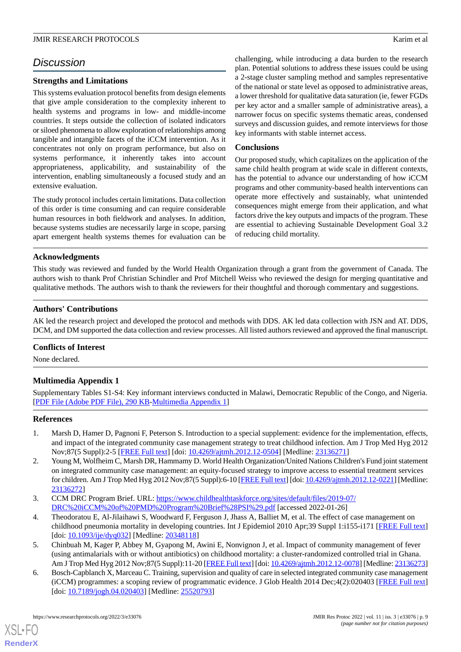# *Discussion*

# **Strengths and Limitations**

This systems evaluation protocol benefits from design elements that give ample consideration to the complexity inherent to health systems and programs in low- and middle-income countries. It steps outside the collection of isolated indicators or siloed phenomena to allow exploration of relationships among tangible and intangible facets of the iCCM intervention. As it concentrates not only on program performance, but also on systems performance, it inherently takes into account appropriateness, applicability, and sustainability of the intervention, enabling simultaneously a focused study and an extensive evaluation.

The study protocol includes certain limitations. Data collection of this order is time consuming and can require considerable human resources in both fieldwork and analyses. In addition, because systems studies are necessarily large in scope, parsing apart emergent health systems themes for evaluation can be

challenging, while introducing a data burden to the research plan. Potential solutions to address these issues could be using a 2-stage cluster sampling method and samples representative of the national or state level as opposed to administrative areas, a lower threshold for qualitative data saturation (ie, fewer FGDs per key actor and a smaller sample of administrative areas), a narrower focus on specific systems thematic areas, condensed surveys and discussion guides, and remote interviews for those key informants with stable internet access.

# **Conclusions**

Our proposed study, which capitalizes on the application of the same child health program at wide scale in different contexts, has the potential to advance our understanding of how iCCM programs and other community-based health interventions can operate more effectively and sustainably, what unintended consequences might emerge from their application, and what factors drive the key outputs and impacts of the program. These are essential to achieving Sustainable Development Goal 3.2 of reducing child mortality.

# **Acknowledgments**

This study was reviewed and funded by the World Health Organization through a grant from the government of Canada. The authors wish to thank Prof Christian Schindler and Prof Mitchell Weiss who reviewed the design for merging quantitative and qualitative methods. The authors wish to thank the reviewers for their thoughtful and thorough commentary and suggestions.

# **Authors' Contributions**

AK led the research project and developed the protocol and methods with DDS. AK led data collection with JSN and AT. DDS, DCM, and DM supported the data collection and review processes. All listed authors reviewed and approved the final manuscript.

# <span id="page-8-4"></span>**Conflicts of Interest**

None declared.

# **Multimedia Appendix 1**

<span id="page-8-0"></span>Supplementary Tables S1-S4: Key informant interviews conducted in Malawi, Democratic Republic of the Congo, and Nigeria. [[PDF File \(Adobe PDF File\), 290 KB](https://jmir.org/api/download?alt_name=resprot_v11i3e33076_app1.pdf&filename=eb889aeecf01507e5dac8a025d722da7.pdf)-[Multimedia Appendix 1\]](https://jmir.org/api/download?alt_name=resprot_v11i3e33076_app1.pdf&filename=eb889aeecf01507e5dac8a025d722da7.pdf)

# <span id="page-8-1"></span>**References**

- 1. Marsh D, Hamer D, Pagnoni F, Peterson S. Introduction to a special supplement: evidence for the implementation, effects, and impact of the integrated community case management strategy to treat childhood infection. Am J Trop Med Hyg 2012 Nov;87(5 Suppl):2-5 [[FREE Full text](http://europepmc.org/abstract/MED/23136271)] [doi: [10.4269/ajtmh.2012.12-0504\]](http://dx.doi.org/10.4269/ajtmh.2012.12-0504) [Medline: [23136271\]](http://www.ncbi.nlm.nih.gov/entrez/query.fcgi?cmd=Retrieve&db=PubMed&list_uids=23136271&dopt=Abstract)
- <span id="page-8-3"></span><span id="page-8-2"></span>2. Young M, Wolfheim C, Marsh DR, Hammamy D. World Health Organization/United Nations Children's Fund joint statement on integrated community case management: an equity-focused strategy to improve access to essential treatment services for children. Am J Trop Med Hyg 2012 Nov;87(5 Suppl):6-10 [\[FREE Full text](http://europepmc.org/abstract/MED/23136272)] [doi: [10.4269/ajtmh.2012.12-0221\]](http://dx.doi.org/10.4269/ajtmh.2012.12-0221) [Medline: [23136272](http://www.ncbi.nlm.nih.gov/entrez/query.fcgi?cmd=Retrieve&db=PubMed&list_uids=23136272&dopt=Abstract)]
- 3. CCM DRC Program Brief. URL: [https://www.childhealthtaskforce.org/sites/default/files/2019-07/](https://www.childhealthtaskforce.org/sites/default/files/2019-07/DRC%20iCCM%20of%20PMD%20Program%20Brief%28PSI%29.pdf) [DRC%20iCCM%20of%20PMD%20Program%20Brief%28PSI%29.pdf](https://www.childhealthtaskforce.org/sites/default/files/2019-07/DRC%20iCCM%20of%20PMD%20Program%20Brief%28PSI%29.pdf) [accessed 2022-01-26]
- 4. Theodoratou E, Al-Jilaihawi S, Woodward F, Ferguson J, Jhass A, Balliet M, et al. The effect of case management on childhood pneumonia mortality in developing countries. Int J Epidemiol 2010 Apr;39 Suppl 1:i155-i171 [\[FREE Full text](http://europepmc.org/abstract/MED/20348118)] [doi: [10.1093/ije/dyq032\]](http://dx.doi.org/10.1093/ije/dyq032) [Medline: [20348118\]](http://www.ncbi.nlm.nih.gov/entrez/query.fcgi?cmd=Retrieve&db=PubMed&list_uids=20348118&dopt=Abstract)
- 5. Chinbuah M, Kager P, Abbey M, Gyapong M, Awini E, Nonvignon J, et al. Impact of community management of fever (using antimalarials with or without antibiotics) on childhood mortality: a cluster-randomized controlled trial in Ghana. Am J Trop Med Hyg 2012 Nov;87(5 Suppl):11-20 [\[FREE Full text\]](http://europepmc.org/abstract/MED/23136273) [doi: [10.4269/ajtmh.2012.12-0078](http://dx.doi.org/10.4269/ajtmh.2012.12-0078)] [Medline: [23136273](http://www.ncbi.nlm.nih.gov/entrez/query.fcgi?cmd=Retrieve&db=PubMed&list_uids=23136273&dopt=Abstract)]
- 6. Bosch-Capblanch X, Marceau C. Training, supervision and quality of care in selected integrated community case management (iCCM) programmes: a scoping review of programmatic evidence. J Glob Health 2014 Dec;4(2):020403 [\[FREE Full text](https://doi.org/10.7189/jogh.04.020403)] [doi: [10.7189/jogh.04.020403\]](http://dx.doi.org/10.7189/jogh.04.020403) [Medline: [25520793\]](http://www.ncbi.nlm.nih.gov/entrez/query.fcgi?cmd=Retrieve&db=PubMed&list_uids=25520793&dopt=Abstract)

[XSL](http://www.w3.org/Style/XSL)•FO **[RenderX](http://www.renderx.com/)**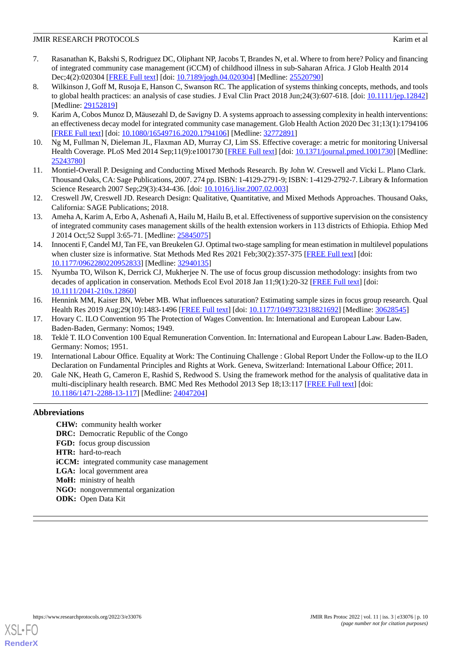- <span id="page-9-0"></span>7. Rasanathan K, Bakshi S, Rodriguez DC, Oliphant NP, Jacobs T, Brandes N, et al. Where to from here? Policy and financing of integrated community case management (iCCM) of childhood illness in sub-Saharan Africa. J Glob Health 2014 Dec;4(2):020304 [[FREE Full text](https://doi.org/10.7189/jogh.04.020304)] [doi: [10.7189/jogh.04.020304](http://dx.doi.org/10.7189/jogh.04.020304)] [Medline: [25520790](http://www.ncbi.nlm.nih.gov/entrez/query.fcgi?cmd=Retrieve&db=PubMed&list_uids=25520790&dopt=Abstract)]
- <span id="page-9-1"></span>8. Wilkinson J, Goff M, Rusoja E, Hanson C, Swanson RC. The application of systems thinking concepts, methods, and tools to global health practices: an analysis of case studies. J Eval Clin Pract 2018 Jun;24(3):607-618. [doi: [10.1111/jep.12842](http://dx.doi.org/10.1111/jep.12842)] [Medline: [29152819](http://www.ncbi.nlm.nih.gov/entrez/query.fcgi?cmd=Retrieve&db=PubMed&list_uids=29152819&dopt=Abstract)]
- <span id="page-9-2"></span>9. Karim A, Cobos Munoz D, Mäusezahl D, de Savigny D. A systems approach to assessing complexity in health interventions: an effectiveness decay model for integrated community case management. Glob Health Action 2020 Dec 31;13(1):1794106 [[FREE Full text](http://europepmc.org/abstract/MED/32772891)] [doi: [10.1080/16549716.2020.1794106\]](http://dx.doi.org/10.1080/16549716.2020.1794106) [Medline: [32772891](http://www.ncbi.nlm.nih.gov/entrez/query.fcgi?cmd=Retrieve&db=PubMed&list_uids=32772891&dopt=Abstract)]
- <span id="page-9-3"></span>10. Ng M, Fullman N, Dieleman JL, Flaxman AD, Murray CJ, Lim SS. Effective coverage: a metric for monitoring Universal Health Coverage. PLoS Med 2014 Sep;11(9):e1001730 [\[FREE Full text](https://dx.plos.org/10.1371/journal.pmed.1001730)] [doi: [10.1371/journal.pmed.1001730\]](http://dx.doi.org/10.1371/journal.pmed.1001730) [Medline: [25243780](http://www.ncbi.nlm.nih.gov/entrez/query.fcgi?cmd=Retrieve&db=PubMed&list_uids=25243780&dopt=Abstract)]
- <span id="page-9-4"></span>11. Montiel-Overall P. Designing and Conducting Mixed Methods Research. By John W. Creswell and Vicki L. Plano Clark. Thousand Oaks, CA: Sage Publications, 2007. 274 pp. ISBN: 1-4129-2791-9; ISBN: 1-4129-2792-7. Library & Information Science Research 2007 Sep; 29(3): 434-436. [doi: 10.1016/j.lisr. 2007. 02. 003]
- <span id="page-9-5"></span>12. Creswell JW, Creswell JD. Research Design: Qualitative, Quantitative, and Mixed Methods Approaches. Thousand Oaks, California: SAGE Publications; 2018.
- <span id="page-9-6"></span>13. Ameha A, Karim A, Erbo A, Ashenafi A, Hailu M, Hailu B, et al. Effectiveness of supportive supervision on the consistency of integrated community cases management skills of the health extension workers in 113 districts of Ethiopia. Ethiop Med J 2014 Oct;52 Suppl 3:65-71. [Medline: [25845075](http://www.ncbi.nlm.nih.gov/entrez/query.fcgi?cmd=Retrieve&db=PubMed&list_uids=25845075&dopt=Abstract)]
- <span id="page-9-7"></span>14. Innocenti F, Candel MJ, Tan FE, van Breukelen GJ. Optimal two-stage sampling for mean estimation in multilevel populations when cluster size is informative. Stat Methods Med Res 2021 Feb;30(2):357-375 [\[FREE Full text](https://journals.sagepub.com/doi/10.1177/0962280220952833?url_ver=Z39.88-2003&rfr_id=ori:rid:crossref.org&rfr_dat=cr_pub%3dpubmed)] [doi: [10.1177/0962280220952833\]](http://dx.doi.org/10.1177/0962280220952833) [Medline: [32940135\]](http://www.ncbi.nlm.nih.gov/entrez/query.fcgi?cmd=Retrieve&db=PubMed&list_uids=32940135&dopt=Abstract)
- <span id="page-9-8"></span>15. Nyumba TO, Wilson K, Derrick CJ, Mukherjee N. The use of focus group discussion methodology: insights from two decades of application in conservation. Methods Ecol Evol 2018 Jan 11;9(1):20-32 [[FREE Full text](https://besjournals.onlinelibrary.wiley.com/doi/full/10.1111/2041-210X.12860)] [doi: [10.1111/2041-210x.12860\]](http://dx.doi.org/10.1111/2041-210x.12860)
- <span id="page-9-9"></span>16. Hennink MM, Kaiser BN, Weber MB. What influences saturation? Estimating sample sizes in focus group research. Qual Health Res 2019 Aug;29(10):1483-1496 [\[FREE Full text\]](http://europepmc.org/abstract/MED/30628545) [doi: [10.1177/1049732318821692](http://dx.doi.org/10.1177/1049732318821692)] [Medline: [30628545\]](http://www.ncbi.nlm.nih.gov/entrez/query.fcgi?cmd=Retrieve&db=PubMed&list_uids=30628545&dopt=Abstract)
- <span id="page-9-10"></span>17. Hovary C. ILO Convention 95 The Protection of Wages Convention. In: International and European Labour Law. Baden-Baden, Germany: Nomos; 1949.
- <span id="page-9-11"></span>18. Teklè T. ILO Convention 100 Equal Remuneration Convention. In: International and European Labour Law. Baden-Baden, Germany: Nomos; 1951.
- 19. International Labour Office. Equality at Work: The Continuing Challenge : Global Report Under the Follow-up to the ILO Declaration on Fundamental Principles and Rights at Work. Geneva, Switzerland: International Labour Office; 2011.
- 20. Gale NK, Heath G, Cameron E, Rashid S, Redwood S. Using the framework method for the analysis of qualitative data in multi-disciplinary health research. BMC Med Res Methodol 2013 Sep 18;13:117 [[FREE Full text](https://bmcmedresmethodol.biomedcentral.com/articles/10.1186/1471-2288-13-117)] [doi: [10.1186/1471-2288-13-117\]](http://dx.doi.org/10.1186/1471-2288-13-117) [Medline: [24047204\]](http://www.ncbi.nlm.nih.gov/entrez/query.fcgi?cmd=Retrieve&db=PubMed&list_uids=24047204&dopt=Abstract)

# **Abbreviations**

**CHW:** community health worker **DRC:** Democratic Republic of the Congo **FGD:** focus group discussion **HTR:** hard-to-reach **iCCM:** integrated community case management **LGA:** local government area **MoH:** ministry of health **NGO:** nongovernmental organization **ODK:** Open Data Kit